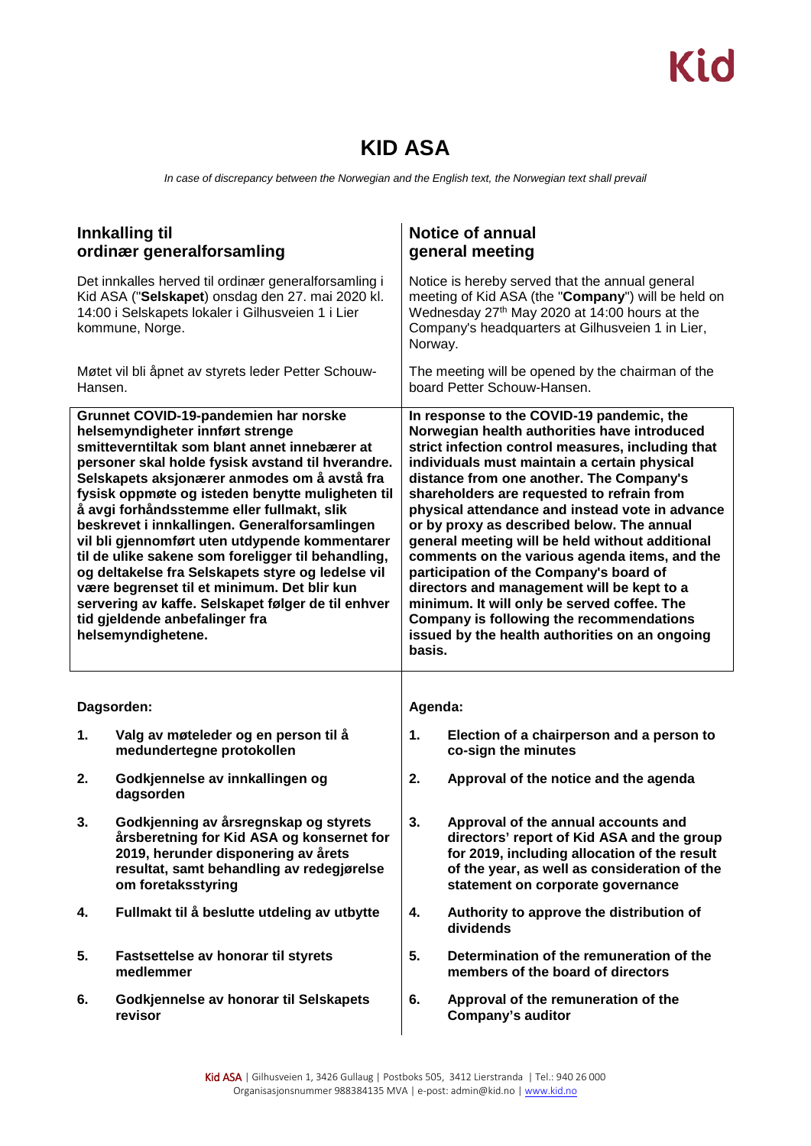## **KID ASA**

*In case of discrepancy between the Norwegian and the English text, the Norwegian text shall prevail*

|         | Innkalling til<br>ordinær generalforsamling                                                                                                                                                                                                                                                                                                                                                                                                                                                                                                                                                                                                                                                                  |                                                                                                                                                                                                                                                                                                                                                                                                                                                                                                                                                                                                                                                                                                                                               | <b>Notice of annual</b><br>general meeting                                                                                                                                                                             |  |  |  |  |  |
|---------|--------------------------------------------------------------------------------------------------------------------------------------------------------------------------------------------------------------------------------------------------------------------------------------------------------------------------------------------------------------------------------------------------------------------------------------------------------------------------------------------------------------------------------------------------------------------------------------------------------------------------------------------------------------------------------------------------------------|-----------------------------------------------------------------------------------------------------------------------------------------------------------------------------------------------------------------------------------------------------------------------------------------------------------------------------------------------------------------------------------------------------------------------------------------------------------------------------------------------------------------------------------------------------------------------------------------------------------------------------------------------------------------------------------------------------------------------------------------------|------------------------------------------------------------------------------------------------------------------------------------------------------------------------------------------------------------------------|--|--|--|--|--|
|         | Det innkalles herved til ordinær generalforsamling i<br>Kid ASA ("Selskapet) onsdag den 27. mai 2020 kl.<br>14:00 i Selskapets lokaler i Gilhusveien 1 i Lier<br>kommune, Norge.                                                                                                                                                                                                                                                                                                                                                                                                                                                                                                                             | Notice is hereby served that the annual general<br>meeting of Kid ASA (the "Company") will be held on<br>Wednesday 27th May 2020 at 14:00 hours at the<br>Company's headquarters at Gilhusveien 1 in Lier,<br>Norway.                                                                                                                                                                                                                                                                                                                                                                                                                                                                                                                         |                                                                                                                                                                                                                        |  |  |  |  |  |
| Hansen. | Møtet vil bli åpnet av styrets leder Petter Schouw-                                                                                                                                                                                                                                                                                                                                                                                                                                                                                                                                                                                                                                                          | The meeting will be opened by the chairman of the<br>board Petter Schouw-Hansen.                                                                                                                                                                                                                                                                                                                                                                                                                                                                                                                                                                                                                                                              |                                                                                                                                                                                                                        |  |  |  |  |  |
|         | Grunnet COVID-19-pandemien har norske<br>helsemyndigheter innført strenge<br>smitteverntiltak som blant annet innebærer at<br>personer skal holde fysisk avstand til hverandre.<br>Selskapets aksjonærer anmodes om å avstå fra<br>fysisk oppmøte og isteden benytte muligheten til<br>å avgi forhåndsstemme eller fullmakt, slik<br>beskrevet i innkallingen. Generalforsamlingen<br>vil bli gjennomført uten utdypende kommentarer<br>til de ulike sakene som foreligger til behandling,<br>og deltakelse fra Selskapets styre og ledelse vil<br>være begrenset til et minimum. Det blir kun<br>servering av kaffe. Selskapet følger de til enhver<br>tid gjeldende anbefalinger fra<br>helsemyndighetene. | In response to the COVID-19 pandemic, the<br>Norwegian health authorities have introduced<br>strict infection control measures, including that<br>individuals must maintain a certain physical<br>distance from one another. The Company's<br>shareholders are requested to refrain from<br>physical attendance and instead vote in advance<br>or by proxy as described below. The annual<br>general meeting will be held without additional<br>comments on the various agenda items, and the<br>participation of the Company's board of<br>directors and management will be kept to a<br>minimum. It will only be served coffee. The<br>Company is following the recommendations<br>issued by the health authorities on an ongoing<br>basis. |                                                                                                                                                                                                                        |  |  |  |  |  |
|         | Dagsorden:                                                                                                                                                                                                                                                                                                                                                                                                                                                                                                                                                                                                                                                                                                   | Agenda:                                                                                                                                                                                                                                                                                                                                                                                                                                                                                                                                                                                                                                                                                                                                       |                                                                                                                                                                                                                        |  |  |  |  |  |
| 1.      | Valg av møteleder og en person til å<br>medundertegne protokollen                                                                                                                                                                                                                                                                                                                                                                                                                                                                                                                                                                                                                                            | 1.                                                                                                                                                                                                                                                                                                                                                                                                                                                                                                                                                                                                                                                                                                                                            | Election of a chairperson and a person to<br>co-sign the minutes                                                                                                                                                       |  |  |  |  |  |
| 2.      | Godkjennelse av innkallingen og<br>dagsorden                                                                                                                                                                                                                                                                                                                                                                                                                                                                                                                                                                                                                                                                 | 2.                                                                                                                                                                                                                                                                                                                                                                                                                                                                                                                                                                                                                                                                                                                                            | Approval of the notice and the agenda                                                                                                                                                                                  |  |  |  |  |  |
| 3.      | Godkjenning av årsregnskap og styrets<br>årsberetning for Kid ASA og konsernet for<br>2019, herunder disponering av årets<br>resultat, samt behandling av redegjørelse<br>om foretaksstyring                                                                                                                                                                                                                                                                                                                                                                                                                                                                                                                 | 3.                                                                                                                                                                                                                                                                                                                                                                                                                                                                                                                                                                                                                                                                                                                                            | Approval of the annual accounts and<br>directors' report of Kid ASA and the group<br>for 2019, including allocation of the result<br>of the year, as well as consideration of the<br>statement on corporate governance |  |  |  |  |  |
| 4.      | Fullmakt til å beslutte utdeling av utbytte                                                                                                                                                                                                                                                                                                                                                                                                                                                                                                                                                                                                                                                                  | 4.                                                                                                                                                                                                                                                                                                                                                                                                                                                                                                                                                                                                                                                                                                                                            | Authority to approve the distribution of<br>dividends                                                                                                                                                                  |  |  |  |  |  |
| 5.      | Fastsettelse av honorar til styrets<br>medlemmer                                                                                                                                                                                                                                                                                                                                                                                                                                                                                                                                                                                                                                                             | 5.                                                                                                                                                                                                                                                                                                                                                                                                                                                                                                                                                                                                                                                                                                                                            | Determination of the remuneration of the<br>members of the board of directors                                                                                                                                          |  |  |  |  |  |
| 6.      | Godkjennelse av honorar til Selskapets<br>revisor                                                                                                                                                                                                                                                                                                                                                                                                                                                                                                                                                                                                                                                            | 6.                                                                                                                                                                                                                                                                                                                                                                                                                                                                                                                                                                                                                                                                                                                                            | Approval of the remuneration of the<br><b>Company's auditor</b>                                                                                                                                                        |  |  |  |  |  |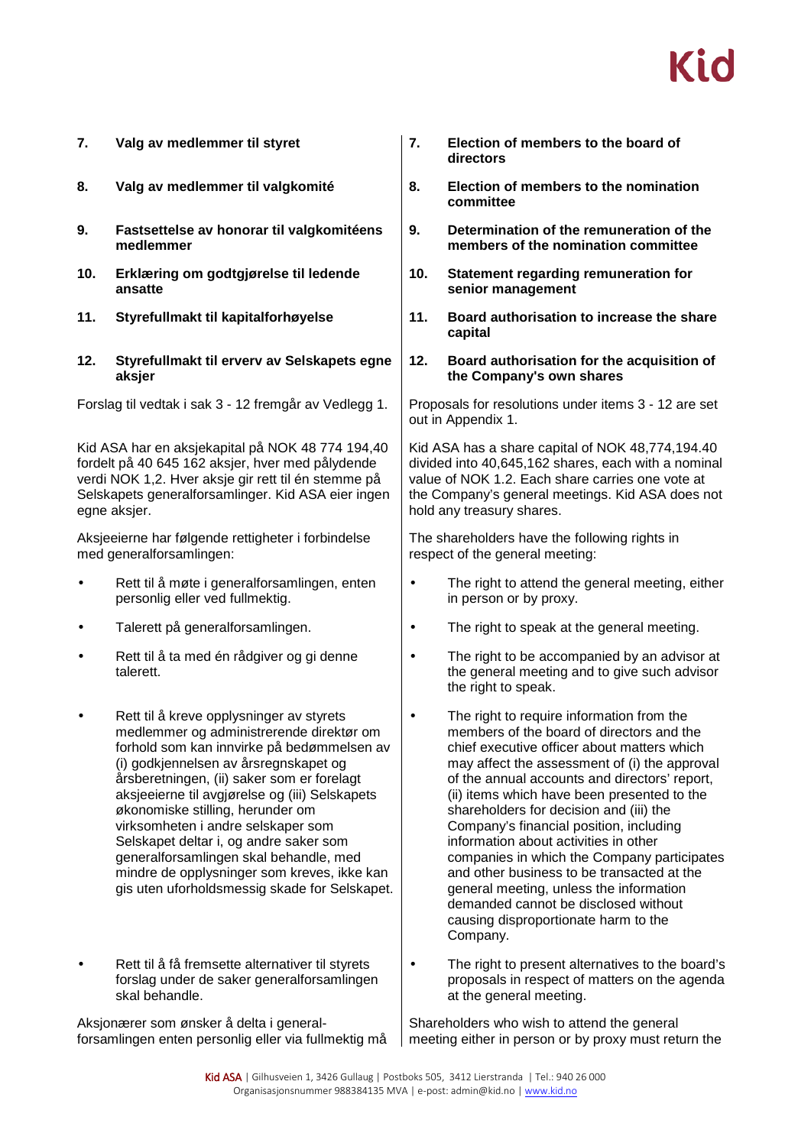| 7.        | Valg av medlemmer til styret                                                                                                                                                                                                                                                                                                                                                                                                                                                                                                              | 7.        | Election of members to the board of<br>directors                                                                                                                                                                                                                                                                                                                                                                                                                                                                                                                                                                                                          |
|-----------|-------------------------------------------------------------------------------------------------------------------------------------------------------------------------------------------------------------------------------------------------------------------------------------------------------------------------------------------------------------------------------------------------------------------------------------------------------------------------------------------------------------------------------------------|-----------|-----------------------------------------------------------------------------------------------------------------------------------------------------------------------------------------------------------------------------------------------------------------------------------------------------------------------------------------------------------------------------------------------------------------------------------------------------------------------------------------------------------------------------------------------------------------------------------------------------------------------------------------------------------|
| 8.        | Valg av medlemmer til valgkomité                                                                                                                                                                                                                                                                                                                                                                                                                                                                                                          | 8.        | Election of members to the nomination<br>committee                                                                                                                                                                                                                                                                                                                                                                                                                                                                                                                                                                                                        |
| 9.        | Fastsettelse av honorar til valgkomitéens<br>medlemmer                                                                                                                                                                                                                                                                                                                                                                                                                                                                                    | 9.        | Determination of the remuneration of the<br>members of the nomination committee                                                                                                                                                                                                                                                                                                                                                                                                                                                                                                                                                                           |
| 10.       | Erklæring om godtgjørelse til ledende<br>ansatte                                                                                                                                                                                                                                                                                                                                                                                                                                                                                          | 10.       | Statement regarding remuneration for<br>senior management                                                                                                                                                                                                                                                                                                                                                                                                                                                                                                                                                                                                 |
| 11.       | Styrefullmakt til kapitalforhøyelse                                                                                                                                                                                                                                                                                                                                                                                                                                                                                                       | 11.       | Board authorisation to increase the share<br>capital                                                                                                                                                                                                                                                                                                                                                                                                                                                                                                                                                                                                      |
| 12.       | Styrefullmakt til erverv av Selskapets egne<br>aksjer                                                                                                                                                                                                                                                                                                                                                                                                                                                                                     | 12.       | Board authorisation for the acquisition of<br>the Company's own shares                                                                                                                                                                                                                                                                                                                                                                                                                                                                                                                                                                                    |
|           | Forslag til vedtak i sak 3 - 12 fremgår av Vedlegg 1.                                                                                                                                                                                                                                                                                                                                                                                                                                                                                     |           | Proposals for resolutions under items 3 - 12 are set<br>out in Appendix 1.                                                                                                                                                                                                                                                                                                                                                                                                                                                                                                                                                                                |
|           | Kid ASA har en aksjekapital på NOK 48 774 194,40<br>fordelt på 40 645 162 aksjer, hver med pålydende<br>verdi NOK 1,2. Hver aksje gir rett til én stemme på<br>Selskapets generalforsamlinger. Kid ASA eier ingen<br>egne aksjer.                                                                                                                                                                                                                                                                                                         |           | Kid ASA has a share capital of NOK 48,774,194.40<br>divided into 40,645,162 shares, each with a nominal<br>value of NOK 1.2. Each share carries one vote at<br>the Company's general meetings. Kid ASA does not<br>hold any treasury shares.                                                                                                                                                                                                                                                                                                                                                                                                              |
|           | Aksjeeierne har følgende rettigheter i forbindelse<br>med generalforsamlingen:                                                                                                                                                                                                                                                                                                                                                                                                                                                            |           | The shareholders have the following rights in<br>respect of the general meeting:                                                                                                                                                                                                                                                                                                                                                                                                                                                                                                                                                                          |
| $\bullet$ | Rett til å møte i generalforsamlingen, enten<br>personlig eller ved fullmektig.                                                                                                                                                                                                                                                                                                                                                                                                                                                           | $\bullet$ | The right to attend the general meeting, either<br>in person or by proxy.                                                                                                                                                                                                                                                                                                                                                                                                                                                                                                                                                                                 |
| $\bullet$ | Talerett på generalforsamlingen.                                                                                                                                                                                                                                                                                                                                                                                                                                                                                                          | $\bullet$ | The right to speak at the general meeting.                                                                                                                                                                                                                                                                                                                                                                                                                                                                                                                                                                                                                |
| $\bullet$ | Rett til å ta med én rådgiver og gi denne<br>talerett.                                                                                                                                                                                                                                                                                                                                                                                                                                                                                    | $\bullet$ | The right to be accompanied by an advisor at<br>the general meeting and to give such advisor<br>the right to speak.                                                                                                                                                                                                                                                                                                                                                                                                                                                                                                                                       |
| $\bullet$ | Rett til å kreve opplysninger av styrets<br>medlemmer og administrerende direktør om<br>forhold som kan innvirke på bedømmelsen av<br>(i) godkjennelsen av årsregnskapet og<br>årsberetningen, (ii) saker som er forelagt<br>aksjeeierne til avgjørelse og (iii) Selskapets<br>økonomiske stilling, herunder om<br>virksomheten i andre selskaper som<br>Selskapet deltar i, og andre saker som<br>generalforsamlingen skal behandle, med<br>mindre de opplysninger som kreves, ikke kan<br>gis uten uforholdsmessig skade for Selskapet. | $\bullet$ | The right to require information from the<br>members of the board of directors and the<br>chief executive officer about matters which<br>may affect the assessment of (i) the approval<br>of the annual accounts and directors' report,<br>(ii) items which have been presented to the<br>shareholders for decision and (iii) the<br>Company's financial position, including<br>information about activities in other<br>companies in which the Company participates<br>and other business to be transacted at the<br>general meeting, unless the information<br>demanded cannot be disclosed without<br>causing disproportionate harm to the<br>Company. |
|           | Rett til å få fremsette alternativer til styrets<br>forslag under de saker generalforsamlingen<br>skal behandle.                                                                                                                                                                                                                                                                                                                                                                                                                          |           | The right to present alternatives to the board's<br>proposals in respect of matters on the agenda<br>at the general meeting.                                                                                                                                                                                                                                                                                                                                                                                                                                                                                                                              |
|           | Aksjonærer som ønsker å delta i general-                                                                                                                                                                                                                                                                                                                                                                                                                                                                                                  |           | Shareholders who wish to attend the general                                                                                                                                                                                                                                                                                                                                                                                                                                                                                                                                                                                                               |

forsamlingen enten personlig eller via fullmektig må meeting either in person or by proxy must return the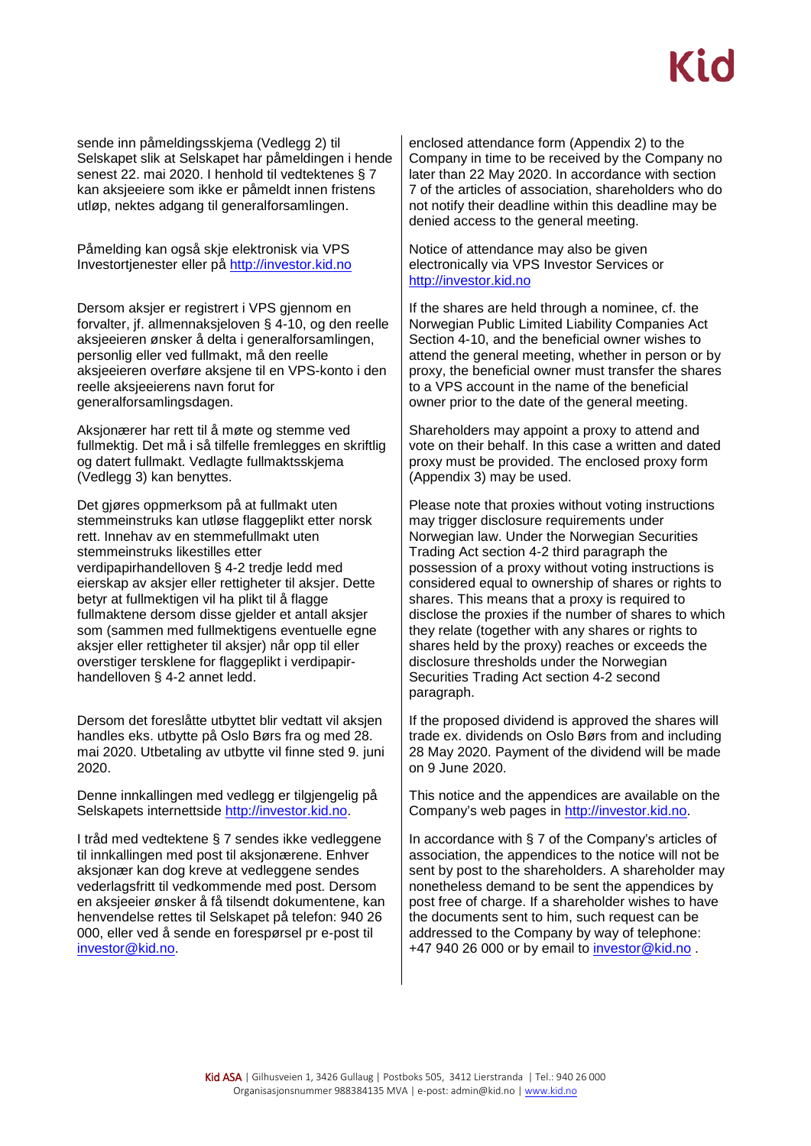sende inn påmeldingsskjema (Vedlegg 2) til Selskapet slik at Selskapet har påmeldingen i hende senest 22. mai 2020. I henhold til vedtektenes § 7 kan aksjeeiere som ikke er påmeldt innen fristens utløp, nektes adgang til generalforsamlingen.

Påmelding kan også skje elektronisk via VPS Investortjenester eller på [http://investor.kid.no](http://investor.kid.no/)

Dersom aksjer er registrert i VPS gjennom en forvalter, jf. allmennaksjeloven § 4-10, og den reelle aksjeeieren ønsker å delta i generalforsamlingen, personlig eller ved fullmakt, må den reelle aksjeeieren overføre aksjene til en VPS-konto i den reelle aksjeeierens navn forut for generalforsamlingsdagen.

Aksjonærer har rett til å møte og stemme ved fullmektig. Det må i så tilfelle fremlegges en skriftlig og datert fullmakt. Vedlagte fullmaktsskjema (Vedlegg 3) kan benyttes.

Det gjøres oppmerksom på at fullmakt uten stemmeinstruks kan utløse flaggeplikt etter norsk rett. Innehav av en stemmefullmakt uten stemmeinstruks likestilles etter verdipapirhandelloven § 4-2 tredje ledd med eierskap av aksjer eller rettigheter til aksjer. Dette betyr at fullmektigen vil ha plikt til å flagge fullmaktene dersom disse gjelder et antall aksjer som (sammen med fullmektigens eventuelle egne aksjer eller rettigheter til aksjer) når opp til eller overstiger tersklene for flaggeplikt i verdipapirhandelloven § 4-2 annet ledd.

Dersom det foreslåtte utbyttet blir vedtatt vil aksjen handles eks. utbytte på Oslo Børs fra og med 28. mai 2020. Utbetaling av utbytte vil finne sted 9. juni 2020.

Denne innkallingen med vedlegg er tilgjengelig på Selskapets internettside [http://investor.kid.no.](http://investor.kid.no/)

I tråd med vedtektene § 7 sendes ikke vedleggene til innkallingen med post til aksjonærene. Enhver aksjonær kan dog kreve at vedleggene sendes vederlagsfritt til vedkommende med post. Dersom en aksjeeier ønsker å få tilsendt dokumentene, kan henvendelse rettes til Selskapet på telefon: 940 26 000, eller ved å sende en forespørsel pr e-post til [investor@kid.no.](mailto:investor@kid.no)

enclosed attendance form (Appendix 2) to the Company in time to be received by the Company no later than 22 May 2020. In accordance with section 7 of the articles of association, shareholders who do not notify their deadline within this deadline may be denied access to the general meeting.

Notice of attendance may also be given electronically via VPS Investor Services or [http://investor.kid.no](http://investor.kid.no/)

If the shares are held through a nominee, cf. the Norwegian Public Limited Liability Companies Act Section 4-10, and the beneficial owner wishes to attend the general meeting, whether in person or by proxy, the beneficial owner must transfer the shares to a VPS account in the name of the beneficial owner prior to the date of the general meeting.

Shareholders may appoint a proxy to attend and vote on their behalf. In this case a written and dated proxy must be provided. The enclosed proxy form (Appendix 3) may be used.

Please note that proxies without voting instructions may trigger disclosure requirements under Norwegian law. Under the Norwegian Securities Trading Act section 4-2 third paragraph the possession of a proxy without voting instructions is considered equal to ownership of shares or rights to shares. This means that a proxy is required to disclose the proxies if the number of shares to which they relate (together with any shares or rights to shares held by the proxy) reaches or exceeds the disclosure thresholds under the Norwegian Securities Trading Act section 4-2 second paragraph.

If the proposed dividend is approved the shares will trade ex. dividends on Oslo Børs from and including 28 May 2020. Payment of the dividend will be made on 9 June 2020.

This notice and the appendices are available on the Company's web pages in [http://investor.kid.no.](http://investor.kid.no/)

In accordance with § 7 of the Company's articles of association, the appendices to the notice will not be sent by post to the shareholders. A shareholder may nonetheless demand to be sent the appendices by post free of charge. If a shareholder wishes to have the documents sent to him, such request can be addressed to the Company by way of telephone: +47 940 26 000 or by email to [investor@kid.no](mailto:investor@kid.no) .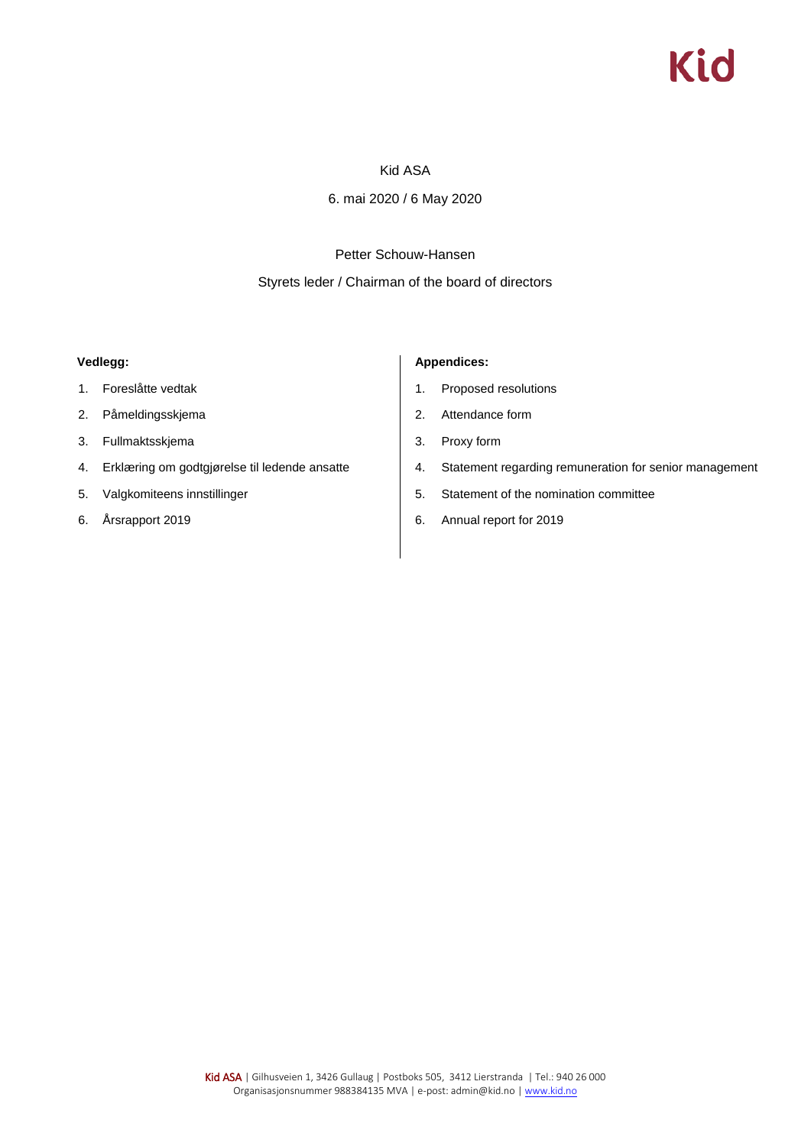# Kid

### Kid ASA

6. mai 2020 / 6 May 2020

### Petter Schouw-Hansen

#### Styrets leder / Chairman of the board of directors

#### **Vedlegg:**

- 1. Foreslåtte vedtak
- 2. Påmeldingsskjema
- 3. Fullmaktsskjema
- 4. Erklæring om godtgjørelse til ledende ansatte
- 5. Valgkomiteens innstillinger
- 6. Årsrapport 2019

#### **Appendices:**

- 1. Proposed resolutions
- 2. Attendance form
- 3. Proxy form
- 4. Statement regarding remuneration for senior management
- 5. Statement of the nomination committee
- 6. Annual report for 2019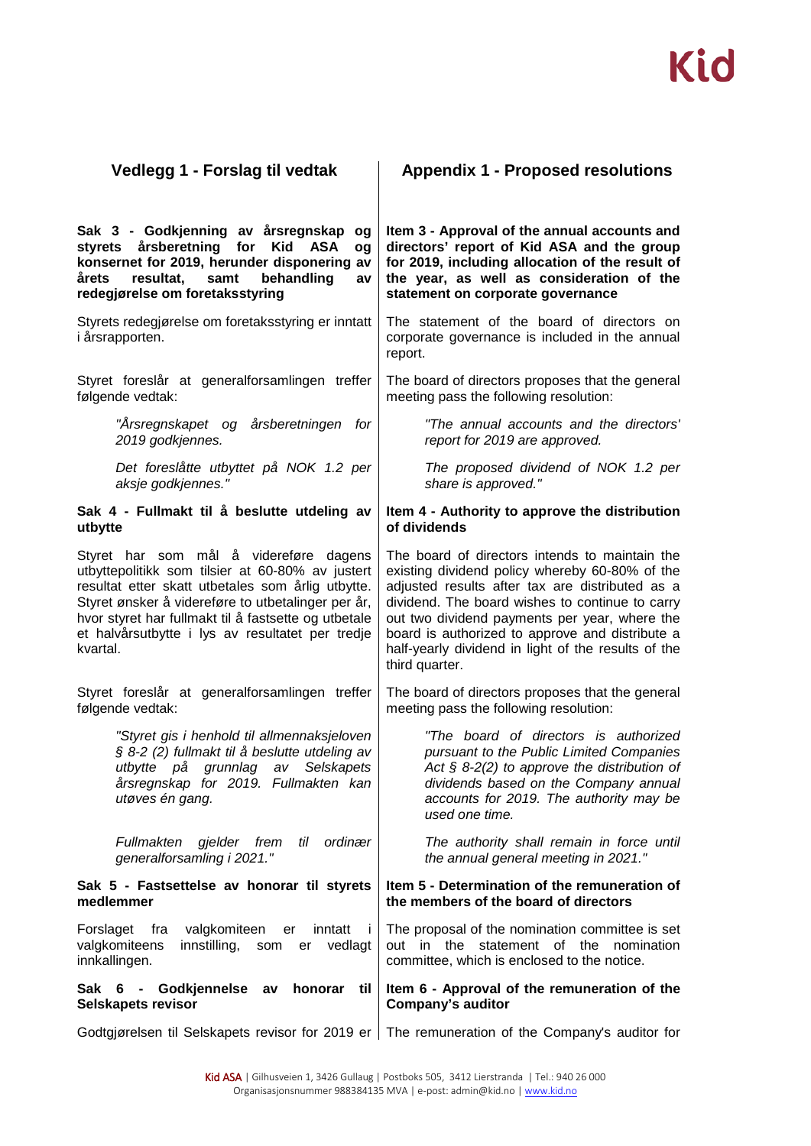| Vedlegg 1 - Forslag til vedtak                                                                                                                                                                                                                                                                                                | <b>Appendix 1 - Proposed resolutions</b>                                                                                                                                                                                                                                                                                                                                            |
|-------------------------------------------------------------------------------------------------------------------------------------------------------------------------------------------------------------------------------------------------------------------------------------------------------------------------------|-------------------------------------------------------------------------------------------------------------------------------------------------------------------------------------------------------------------------------------------------------------------------------------------------------------------------------------------------------------------------------------|
| Sak 3 - Godkjenning av årsregnskap<br>og<br>årsberetning<br>styrets<br>for<br><b>Kid</b><br><b>ASA</b><br>og<br>konsernet for 2019, herunder disponering<br>av<br>samt<br>behandling<br>årets<br>resultat,<br>av<br>redegjørelse om foretaksstyring                                                                           | Item 3 - Approval of the annual accounts and<br>directors' report of Kid ASA and the group<br>for 2019, including allocation of the result of<br>the year, as well as consideration of the<br>statement on corporate governance                                                                                                                                                     |
| Styrets redegjørelse om foretaksstyring er inntatt<br><i>i</i> årsrapporten.                                                                                                                                                                                                                                                  | The statement of the board of directors on<br>corporate governance is included in the annual<br>report.                                                                                                                                                                                                                                                                             |
| Styret foreslår at generalforsamlingen treffer<br>følgende vedtak:                                                                                                                                                                                                                                                            | The board of directors proposes that the general<br>meeting pass the following resolution:                                                                                                                                                                                                                                                                                          |
| "Årsregnskapet og årsberetningen<br>for<br>2019 godkjennes.                                                                                                                                                                                                                                                                   | "The annual accounts and the directors'<br>report for 2019 are approved.                                                                                                                                                                                                                                                                                                            |
| Det foreslåtte utbyttet på NOK 1.2 per<br>aksje godkjennes."                                                                                                                                                                                                                                                                  | The proposed dividend of NOK 1.2 per<br>share is approved."                                                                                                                                                                                                                                                                                                                         |
| Sak 4 - Fullmakt til å beslutte utdeling av<br>utbytte                                                                                                                                                                                                                                                                        | Item 4 - Authority to approve the distribution<br>of dividends                                                                                                                                                                                                                                                                                                                      |
| Styret har som mål å videreføre dagens<br>utbyttepolitikk som tilsier at 60-80% av justert<br>resultat etter skatt utbetales som årlig utbytte.<br>Styret ønsker å videreføre to utbetalinger per år,<br>hvor styret har fullmakt til å fastsette og utbetale<br>et halvårsutbytte i lys av resultatet per tredje<br>kvartal. | The board of directors intends to maintain the<br>existing dividend policy whereby 60-80% of the<br>adjusted results after tax are distributed as a<br>dividend. The board wishes to continue to carry<br>out two dividend payments per year, where the<br>board is authorized to approve and distribute a<br>half-yearly dividend in light of the results of the<br>third quarter. |
| Styret foreslår at generalforsamlingen treffer<br>følgende vedtak:                                                                                                                                                                                                                                                            | The board of directors proposes that the general<br>meeting pass the following resolution:                                                                                                                                                                                                                                                                                          |
| "Styret gis i henhold til allmennaksjeloven<br>§ 8-2 (2) fullmakt til å beslutte utdeling av<br>utbytte på grunnlag av<br><b>Selskapets</b><br>årsregnskap for 2019. Fullmakten kan<br>utøves én gang.                                                                                                                        | "The board of directors is authorized<br>pursuant to the Public Limited Companies<br>Act $\S$ 8-2(2) to approve the distribution of<br>dividends based on the Company annual<br>accounts for 2019. The authority may be<br>used one time.                                                                                                                                           |
| gjelder frem<br>ordinær<br>Fullmakten<br>til<br>generalforsamling i 2021."                                                                                                                                                                                                                                                    | The authority shall remain in force until<br>the annual general meeting in 2021."                                                                                                                                                                                                                                                                                                   |
| Sak 5 - Fastsettelse av honorar til styrets<br>medlemmer                                                                                                                                                                                                                                                                      | Item 5 - Determination of the remuneration of<br>the members of the board of directors                                                                                                                                                                                                                                                                                              |
| valgkomiteen<br>Forslaget<br>fra<br>inntatt<br>er<br>$\blacksquare$<br>valgkomiteens<br>innstilling,<br>vedlagt<br>som<br>er<br>innkallingen.                                                                                                                                                                                 | The proposal of the nomination committee is set<br>out in the statement of the<br>nomination<br>committee, which is enclosed to the notice.                                                                                                                                                                                                                                         |
| Sak 6 - Godkjennelse<br>honorar<br>av<br>til<br>Selskapets revisor                                                                                                                                                                                                                                                            | Item 6 - Approval of the remuneration of the<br><b>Company's auditor</b>                                                                                                                                                                                                                                                                                                            |
|                                                                                                                                                                                                                                                                                                                               | Godtgjørelsen til Selskapets revisor for 2019 er   The remuneration of the Company's auditor for                                                                                                                                                                                                                                                                                    |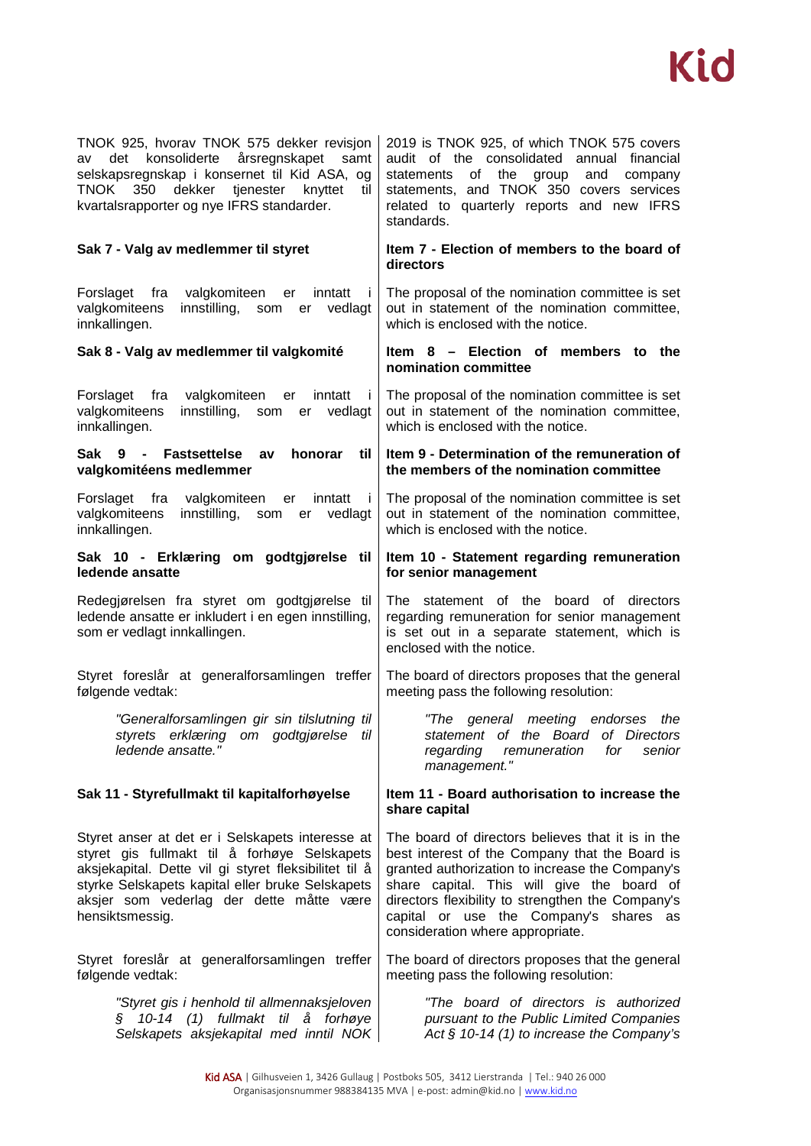

| TNOK 925, hvorav TNOK 575 dekker revisjon    |  |  |  |  |  |  |
|----------------------------------------------|--|--|--|--|--|--|
| av det konsoliderte årsregnskapet samt       |  |  |  |  |  |  |
| selskapsregnskap i konsernet til Kid ASA, og |  |  |  |  |  |  |
| TNOK 350 dekker tjenester knyttet til        |  |  |  |  |  |  |
| kvartalsrapporter og nye IFRS standarder.    |  |  |  |  |  |  |

Forslaget fra valgkomiteen er inntatt i valgkomiteens innstilling, som er vedlagt innkallingen.

Forslaget fra valgkomiteen er inntatt i valgkomiteens innstilling, som er vedlagt innkallingen.

#### **Sak 9 - Fastsettelse av honorar til valgkomitéens medlemmer**

Forslaget fra valgkomiteen er inntatt i valgkomiteens innstilling, som er vedlagt innkallingen.

#### **Sak 10 - Erklæring om godtgjørelse til ledende ansatte**

Redegjørelsen fra styret om godtgjørelse til ledende ansatte er inkludert i en egen innstilling, som er vedlagt innkallingen.

Styret foreslår at generalforsamlingen treffer følgende vedtak:

> *"Generalforsamlingen gir sin tilslutning til styrets erklæring om godtgjørelse til ledende ansatte."*

Styret anser at det er i Selskapets interesse at styret gis fullmakt til å forhøye Selskapets aksjekapital. Dette vil gi styret fleksibilitet til å styrke Selskapets kapital eller bruke Selskapets aksjer som vederlag der dette måtte være hensiktsmessig.

Styret foreslår at generalforsamlingen treffer følgende vedtak:

> *"Styret gis i henhold til allmennaksjeloven § 10-14 (1) fullmakt til å forhøye Selskapets aksjekapital med inntil NOK*

2019 is TNOK 925, of which TNOK 575 covers audit of the consolidated annual financial statements of the group and company statements, and TNOK 350 covers services related to quarterly reports and new IFRS standards.

#### **Sak 7 - Valg av medlemmer til styret Item 7 - Election of members to the board of directors**

The proposal of the nomination committee is set out in statement of the nomination committee, which is enclosed with the notice.

#### **Sak 8 - Valg av medlemmer til valgkomité Item 8 – Election of members to the nomination committee**

The proposal of the nomination committee is set out in statement of the nomination committee, which is enclosed with the notice.

#### **Item 9 - Determination of the remuneration of the members of the nomination committee**

The proposal of the nomination committee is set out in statement of the nomination committee, which is enclosed with the notice.

#### **Item 10 - Statement regarding remuneration for senior management**

The statement of the board of directors regarding remuneration for senior management is set out in a separate statement, which is enclosed with the notice.

The board of directors proposes that the general meeting pass the following resolution:

> *"The general meeting endorses the statement of the Board of Directors regarding remuneration management."*

#### **Sak 11 - Styrefullmakt til kapitalforhøyelse Item 11 - Board authorisation to increase the share capital**

The board of directors believes that it is in the best interest of the Company that the Board is granted authorization to increase the Company's share capital. This will give the board of directors flexibility to strengthen the Company's capital or use the Company's shares as consideration where appropriate.

The board of directors proposes that the general meeting pass the following resolution:

> *"The board of directors is authorized pursuant to the Public Limited Companies Act § 10-14 (1) to increase the Company's*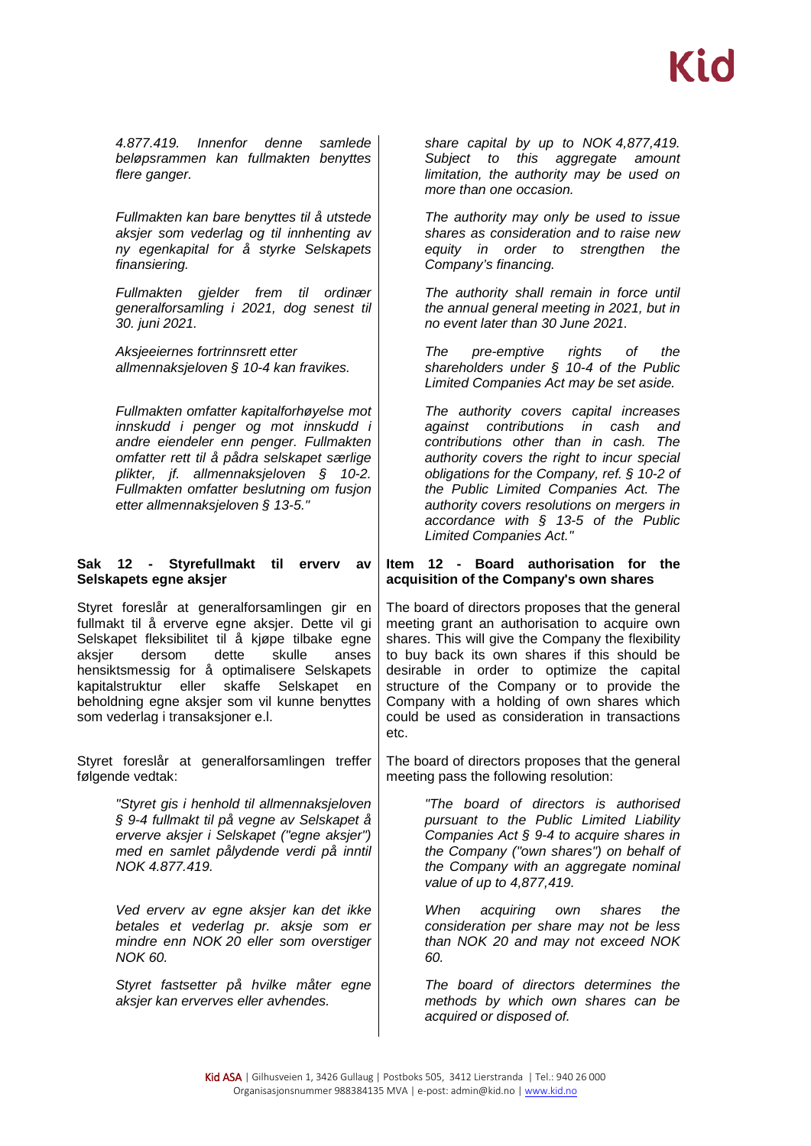*4.877.419. Innenfor denne samlede beløpsrammen kan fullmakten benyttes flere ganger.*

*Fullmakten kan bare benyttes til å utstede aksjer som vederlag og til innhenting av ny egenkapital for å styrke Selskapets finansiering.*

*Fullmakten gjelder frem til ordinær generalforsamling i 2021, dog senest til 30. juni 2021.* 

*Aksjeeiernes fortrinnsrett etter allmennaksjeloven § 10-4 kan fravikes.*

*Fullmakten omfatter kapitalforhøyelse mot innskudd i penger og mot innskudd i andre eiendeler enn penger. Fullmakten omfatter rett til å pådra selskapet særlige plikter, jf. allmennaksjeloven § 10-2. Fullmakten omfatter beslutning om fusjon etter allmennaksjeloven § 13-5."*

### **Sak 12 - Styrefullmakt til erverv av Selskapets egne aksjer**

Styret foreslår at generalforsamlingen gir en fullmakt til å erverve egne aksjer. Dette vil gi Selskapet fleksibilitet til å kjøpe tilbake egne aksjer dersom dette skulle anses hensiktsmessig for å optimalisere Selskapets kapitalstruktur eller skaffe Selskapet en beholdning egne aksjer som vil kunne benyttes som vederlag i transaksjoner e.l.

Styret foreslår at generalforsamlingen treffer følgende vedtak:

> *"Styret gis i henhold til allmennaksjeloven § 9-4 fullmakt til på vegne av Selskapet å erverve aksjer i Selskapet ("egne aksjer") med en samlet pålydende verdi på inntil NOK 4.877.419.*

> *Ved erverv av egne aksjer kan det ikke betales et vederlag pr. aksje som er mindre enn NOK 20 eller som overstiger NOK 60.*

*Styret fastsetter på hvilke måter egne aksjer kan erverves eller avhendes.*

*share capital by up to NOK 4,877,419. Subject to this aggregate amount limitation, the authority may be used on more than one occasion.*

*The authority may only be used to issue shares as consideration and to raise new equity in order to strengthen the Company's financing.*

*The authority shall remain in force until the annual general meeting in 2021, but in no event later than 30 June 2021.*

*The pre-emptive rights of the shareholders under § 10-4 of the Public Limited Companies Act may be set aside.*

*The authority covers capital increases against contributions in cash and contributions other than in cash. The authority covers the right to incur special obligations for the Company, ref. § 10-2 of the Public Limited Companies Act. The authority covers resolutions on mergers in accordance with § 13-5 of the Public Limited Companies Act."*

#### **Item 12 - Board authorisation for the acquisition of the Company's own shares**

The board of directors proposes that the general meeting grant an authorisation to acquire own shares. This will give the Company the flexibility to buy back its own shares if this should be desirable in order to optimize the capital structure of the Company or to provide the Company with a holding of own shares which could be used as consideration in transactions etc.

The board of directors proposes that the general meeting pass the following resolution:

> *"The board of directors is authorised pursuant to the Public Limited Liability Companies Act § 9-4 to acquire shares in the Company ("own shares") on behalf of the Company with an aggregate nominal value of up to 4,877,419.*

> *When acquiring own shares the consideration per share may not be less than NOK 20 and may not exceed NOK 60.*

> *The board of directors determines the methods by which own shares can be acquired or disposed of.*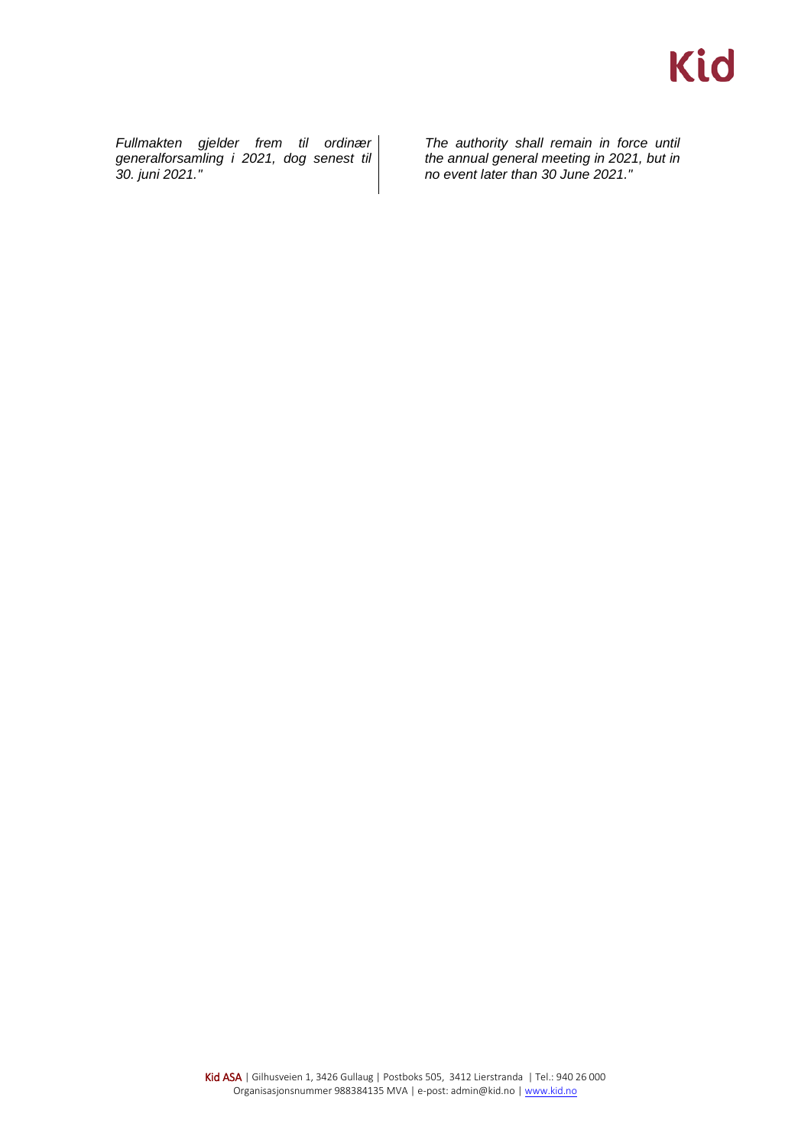*Fullmakten gjelder frem til ordinær generalforsamling i 2021, dog senest til 30. juni 2021."*

*The authority shall remain in force until the annual general meeting in 2021, but in no event later than 30 June 2021."*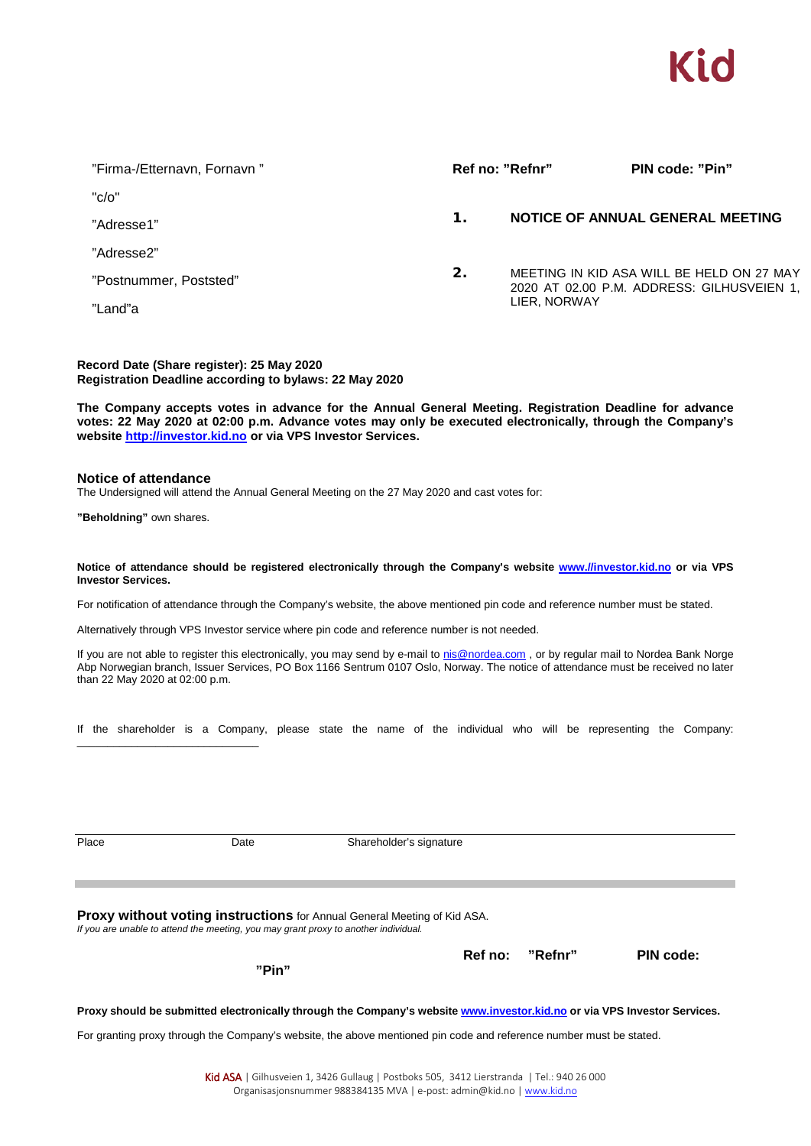

| "Firma-/Etternavn, Fornavn" |                | Ref no: "Refnr" | PIN code: "Pin"                                                                         |  |  |
|-----------------------------|----------------|-----------------|-----------------------------------------------------------------------------------------|--|--|
| " $c/o$ "                   |                |                 |                                                                                         |  |  |
| "Adresse1"                  | $\mathbf 1$    |                 | NOTICE OF ANNUAL GENERAL MEETING                                                        |  |  |
| "Adresse2"                  |                |                 |                                                                                         |  |  |
| "Postnummer, Poststed"      | $\mathbf{2}$ . |                 | MEETING IN KID ASA WILL BE HELD ON 27 MAY<br>2020 AT 02.00 P.M. ADDRESS: GILHUSVEIEN 1, |  |  |
| "Land"a                     |                | LIER, NORWAY    |                                                                                         |  |  |

**Record Date (Share register): 25 May 2020 Registration Deadline according to bylaws: 22 May 2020**

**The Company accepts votes in advance for the Annual General Meeting. Registration Deadline for advance votes: 22 May 2020 at 02:00 p.m. Advance votes may only be executed electronically, through the Company's website http://investor.kid.no or via VPS Investor Services.**

#### **Notice of attendance**

The Undersigned will attend the Annual General Meeting on the 27 May 2020 and cast votes for:

**"Beholdning"** own shares.

\_\_\_\_\_\_\_\_\_\_\_\_\_\_\_\_\_\_\_\_\_\_\_\_\_\_\_\_\_\_

#### **Notice of attendance should be registered electronically through the Company's website www.//investor.kid.no or via VPS Investor Services.**

For notification of attendance through the Company's website, the above mentioned pin code and reference number must be stated.

Alternatively through VPS Investor service where pin code and reference number is not needed.

If you are not able to register this electronically, you may send by e-mail to [nis@nordea.com](mailto:nis@nordea.com), or by regular mail to Nordea Bank Norge Abp Norwegian branch, Issuer Services, PO Box 1166 Sentrum 0107 Oslo, Norway. The notice of attendance must be received no later than 22 May 2020 at 02:00 p.m.

|  |  |  |  |  |  |  |  |  |  |  |  |  |  |  | If the shareholder is a Company, please state the name of the individual who will be representing the Company: |  |  |
|--|--|--|--|--|--|--|--|--|--|--|--|--|--|--|----------------------------------------------------------------------------------------------------------------|--|--|
|--|--|--|--|--|--|--|--|--|--|--|--|--|--|--|----------------------------------------------------------------------------------------------------------------|--|--|

Place Date Date Shareholder's signature

**Proxy without voting instructions** for Annual General Meeting of Kid ASA. *If you are unable to attend the meeting, you may grant proxy to another individual.*

**"Pin"**

 **Ref no: "Refnr" PIN code:**

**Proxy should be submitted electronically through the Company's website www.investor.kid.no or via VPS Investor Services.**

For granting proxy through the Company's website, the above mentioned pin code and reference number must be stated.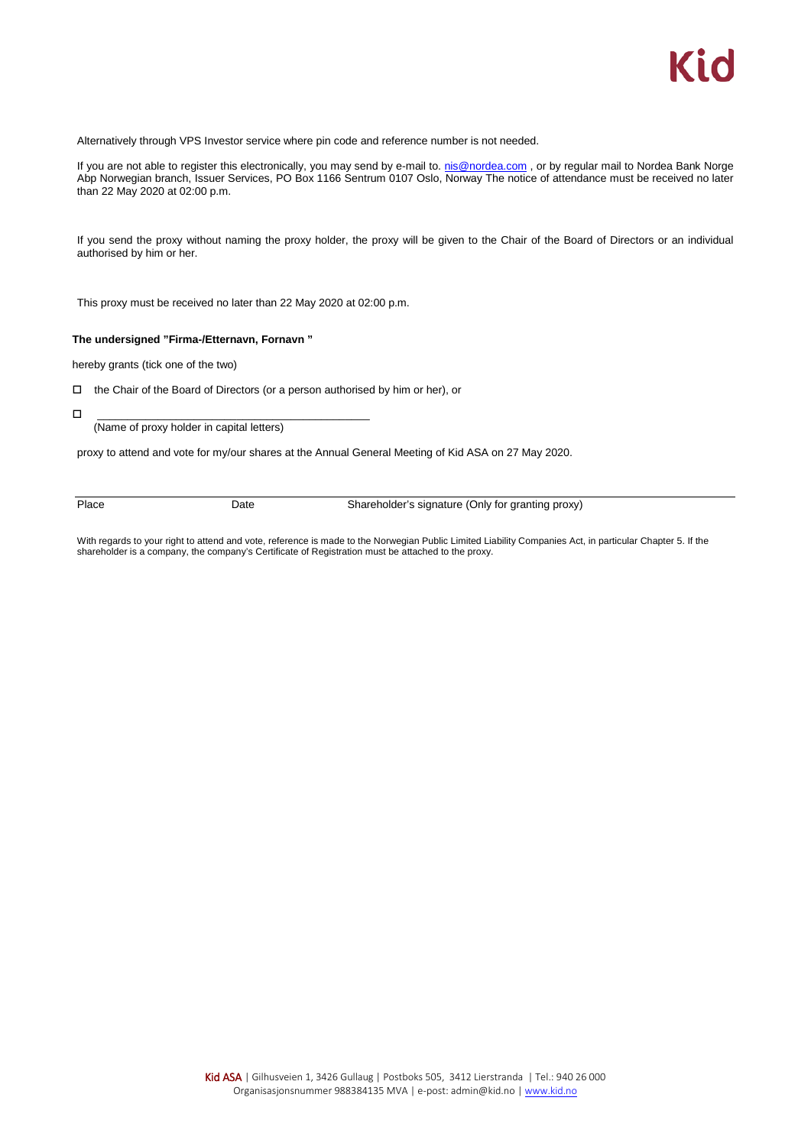Alternatively through VPS Investor service where pin code and reference number is not needed.

If you are not able to register this electronically, you may send by e-mail to. [nis@nordea.com](mailto:nis@nordea.com), or by regular mail to Nordea Bank Norge Abp Norwegian branch, Issuer Services, PO Box 1166 Sentrum 0107 Oslo, Norway The notice of attendance must be received no later than 22 May 2020 at 02:00 p.m.

If you send the proxy without naming the proxy holder, the proxy will be given to the Chair of the Board of Directors or an individual authorised by him or her.

This proxy must be received no later than 22 May 2020 at 02:00 p.m.

#### **The undersigned "Firma-/Etternavn, Fornavn "**

hereby grants (tick one of the two)

#### the Chair of the Board of Directors (or a person authorised by him or her), or

\_\_\_\_\_\_\_\_\_\_\_\_\_\_\_\_\_\_\_\_\_\_\_\_\_\_\_\_\_\_\_\_\_\_\_\_\_\_\_\_\_\_\_\_\_

(Name of proxy holder in capital letters)

proxy to attend and vote for my/our shares at the Annual General Meeting of Kid ASA on 27 May 2020.

Place Date Date Shareholder's signature (Only for granting proxy)

With regards to your right to attend and vote, reference is made to the Norwegian Public Limited Liability Companies Act, in particular Chapter 5. If the shareholder is a company, the company's Certificate of Registration must be attached to the proxy.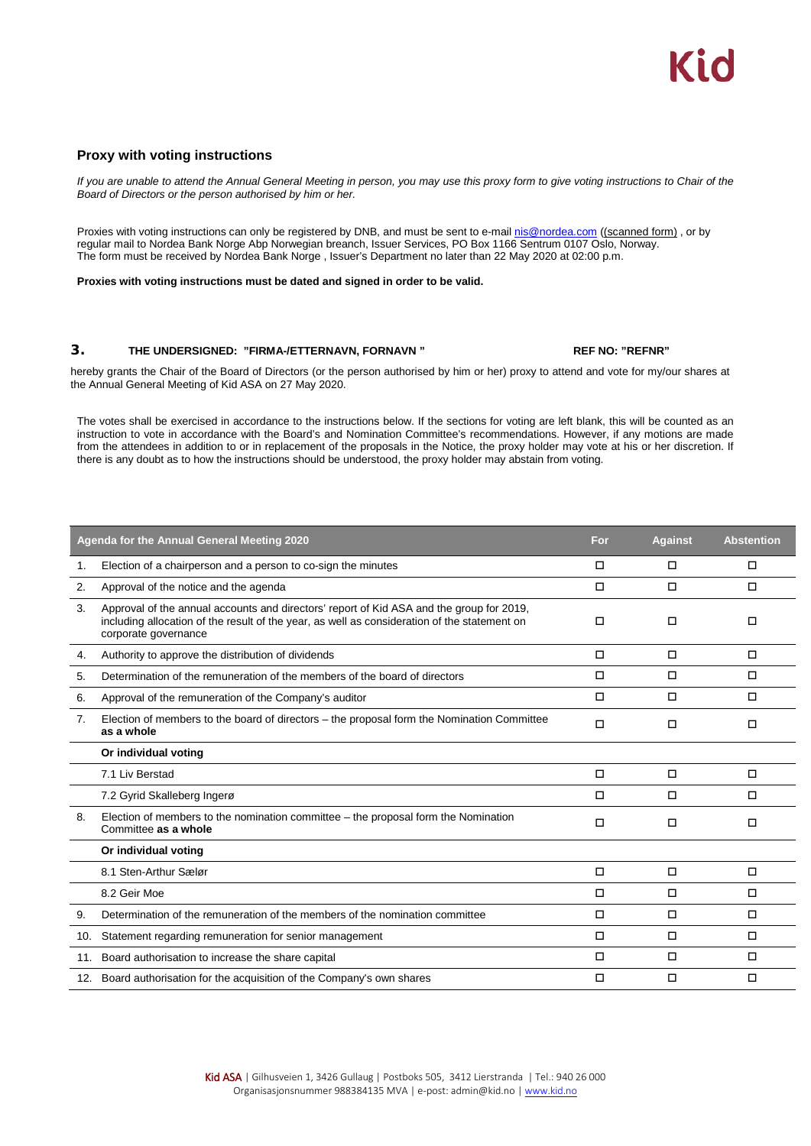#### **Proxy with voting instructions**

*If you are unable to attend the Annual General Meeting in person, you may use this proxy form to give voting instructions to Chair of the Board of Directors or the person authorised by him or her.*

Proxies with voting instructions can only be registered by DNB, and must be sent to e-mai[l nis@nordea.com](mailto:nis@nordea.com) ((scanned form), or by regular mail to Nordea Bank Norge Abp Norwegian breanch, Issuer Services, PO Box 1166 Sentrum 0107 Oslo, Norway. The form must be received by Nordea Bank Norge , Issuer's Department no later than 22 May 2020 at 02:00 p.m.

**Proxies with voting instructions must be dated and signed in order to be valid.**

#### **3. THE UNDERSIGNED: "FIRMA-/ETTERNAVN, FORNAVN " REF NO: "REFNR"**

hereby grants the Chair of the Board of Directors (or the person authorised by him or her) proxy to attend and vote for my/our shares at the Annual General Meeting of Kid ASA on 27 May 2020.

The votes shall be exercised in accordance to the instructions below. If the sections for voting are left blank, this will be counted as an instruction to vote in accordance with the Board's and Nomination Committee's recommendations. However, if any motions are made from the attendees in addition to or in replacement of the proposals in the Notice, the proxy holder may vote at his or her discretion. If there is any doubt as to how the instructions should be understood, the proxy holder may abstain from voting.

|     | Agenda for the Annual General Meeting 2020                                                                                                                                                                       | For | <b>Against</b> | <b>Abstention</b> |
|-----|------------------------------------------------------------------------------------------------------------------------------------------------------------------------------------------------------------------|-----|----------------|-------------------|
| 1.  | Election of a chairperson and a person to co-sign the minutes                                                                                                                                                    | □   | □              | □                 |
| 2.  | Approval of the notice and the agenda                                                                                                                                                                            | □   | □              | □                 |
| 3.  | Approval of the annual accounts and directors' report of Kid ASA and the group for 2019,<br>including allocation of the result of the year, as well as consideration of the statement on<br>corporate governance | □   | п              | п                 |
| 4.  | Authority to approve the distribution of dividends                                                                                                                                                               | О   | $\Box$         | $\Box$            |
| 5.  | Determination of the remuneration of the members of the board of directors                                                                                                                                       | П   | п              | $\Box$            |
| 6.  | Approval of the remuneration of the Company's auditor                                                                                                                                                            | п   | □              | □                 |
| 7.  | Election of members to the board of directors – the proposal form the Nomination Committee<br>as a whole                                                                                                         | □   | □              | □                 |
|     | Or individual voting                                                                                                                                                                                             |     |                |                   |
|     | 7.1 Liv Berstad                                                                                                                                                                                                  | о   | $\Box$         | $\Box$            |
|     | 7.2 Gyrid Skalleberg Ingerø                                                                                                                                                                                      | п   | $\Box$         | п                 |
| 8.  | Election of members to the nomination committee – the proposal form the Nomination<br>Committee as a whole                                                                                                       | О   | □              | □                 |
|     | Or individual voting                                                                                                                                                                                             |     |                |                   |
|     | 8.1 Sten-Arthur Sælør                                                                                                                                                                                            | п   | $\Box$         | $\Box$            |
|     | 8.2 Geir Moe                                                                                                                                                                                                     | О   | $\Box$         | $\Box$            |
| 9.  | Determination of the remuneration of the members of the nomination committee                                                                                                                                     | О   | $\Box$         | $\Box$            |
| 10. | Statement regarding remuneration for senior management                                                                                                                                                           | О   | $\Box$         | $\Box$            |
| 11. | Board authorisation to increase the share capital                                                                                                                                                                | О   | $\Box$         | $\Box$            |
|     | 12. Board authorisation for the acquisition of the Company's own shares                                                                                                                                          | □   | □              | $\Box$            |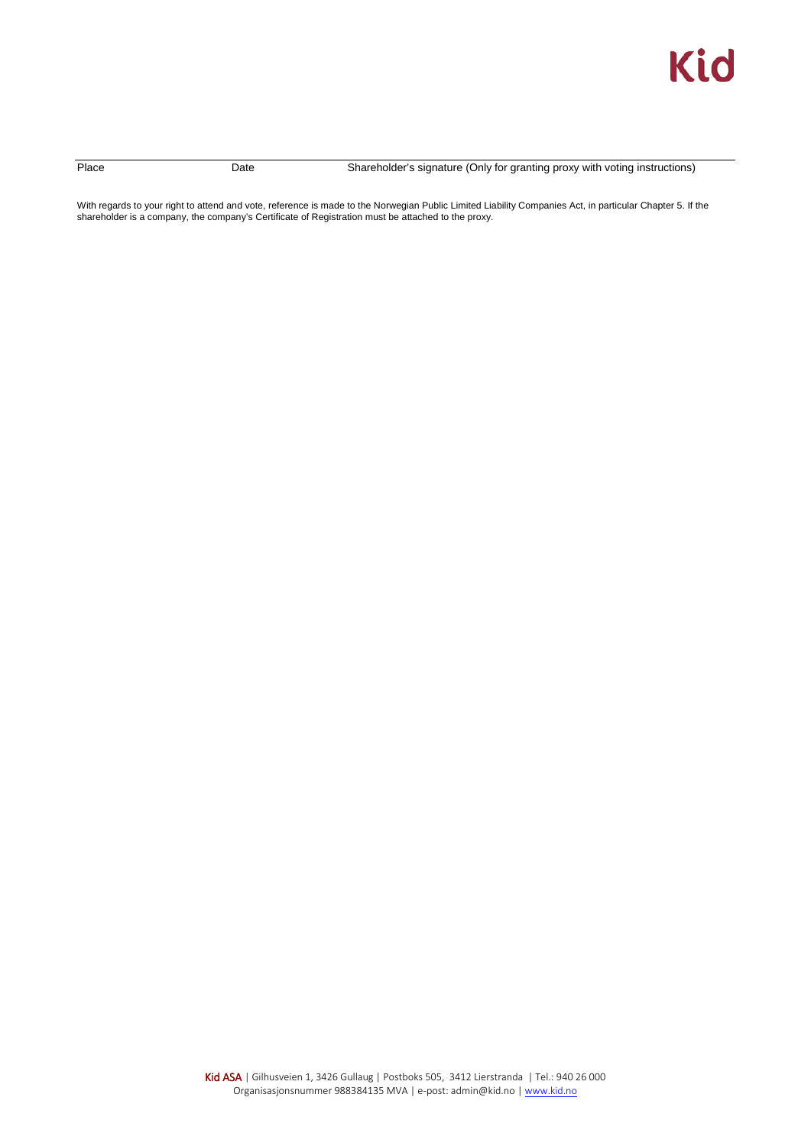

Place Date Date Shareholder's signature (Only for granting proxy with voting instructions)

With regards to your right to attend and vote, reference is made to the Norwegian Public Limited Liability Companies Act, in particular Chapter 5. If the shareholder is a company, the company's Certificate of Registration must be attached to the proxy.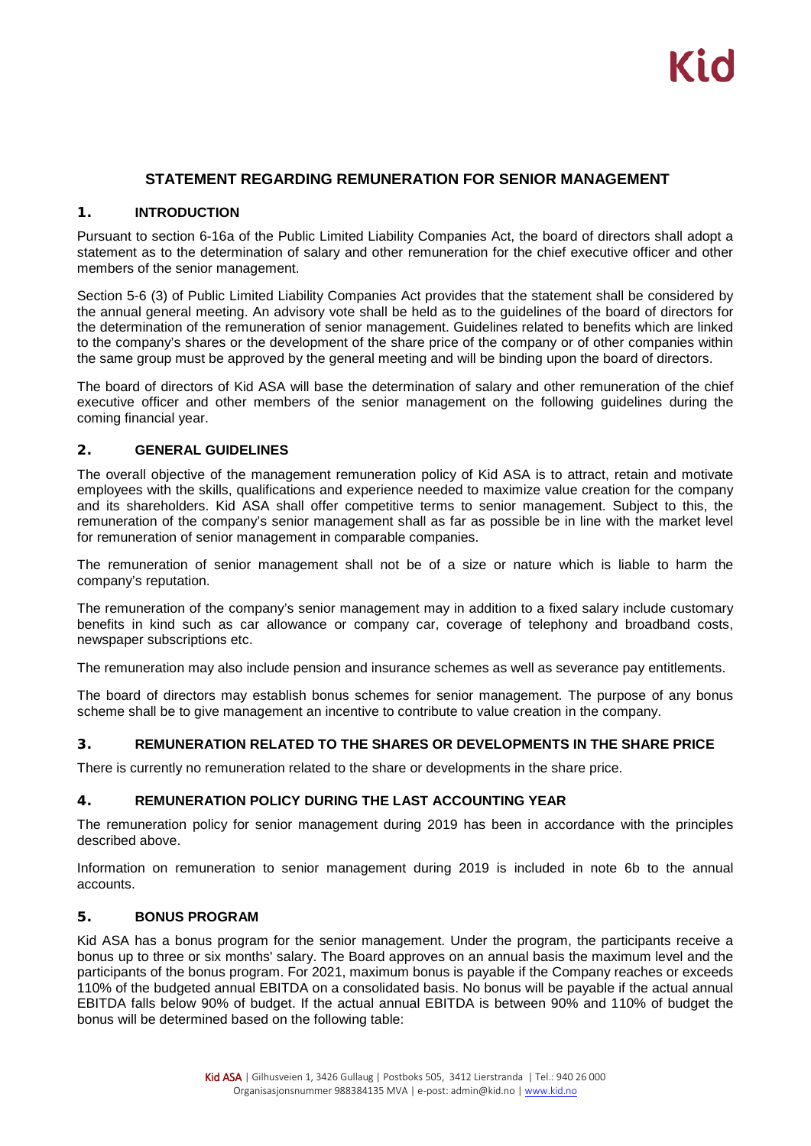### **STATEMENT REGARDING REMUNERATION FOR SENIOR MANAGEMENT**

#### **1. INTRODUCTION**

Pursuant to section 6-16a of the Public Limited Liability Companies Act, the board of directors shall adopt a statement as to the determination of salary and other remuneration for the chief executive officer and other members of the senior management.

Section 5-6 (3) of Public Limited Liability Companies Act provides that the statement shall be considered by the annual general meeting. An advisory vote shall be held as to the guidelines of the board of directors for the determination of the remuneration of senior management. Guidelines related to benefits which are linked to the company's shares or the development of the share price of the company or of other companies within the same group must be approved by the general meeting and will be binding upon the board of directors.

The board of directors of Kid ASA will base the determination of salary and other remuneration of the chief executive officer and other members of the senior management on the following guidelines during the coming financial year.

### **2. GENERAL GUIDELINES**

The overall objective of the management remuneration policy of Kid ASA is to attract, retain and motivate employees with the skills, qualifications and experience needed to maximize value creation for the company and its shareholders. Kid ASA shall offer competitive terms to senior management. Subject to this, the remuneration of the company's senior management shall as far as possible be in line with the market level for remuneration of senior management in comparable companies.

The remuneration of senior management shall not be of a size or nature which is liable to harm the company's reputation.

The remuneration of the company's senior management may in addition to a fixed salary include customary benefits in kind such as car allowance or company car, coverage of telephony and broadband costs, newspaper subscriptions etc.

The remuneration may also include pension and insurance schemes as well as severance pay entitlements.

The board of directors may establish bonus schemes for senior management. The purpose of any bonus scheme shall be to give management an incentive to contribute to value creation in the company.

#### **3. REMUNERATION RELATED TO THE SHARES OR DEVELOPMENTS IN THE SHARE PRICE**

There is currently no remuneration related to the share or developments in the share price.

#### **4. REMUNERATION POLICY DURING THE LAST ACCOUNTING YEAR**

The remuneration policy for senior management during 2019 has been in accordance with the principles described above.

Information on remuneration to senior management during 2019 is included in note 6b to the annual accounts.

#### **5. BONUS PROGRAM**

Kid ASA has a bonus program for the senior management. Under the program, the participants receive a bonus up to three or six months' salary. The Board approves on an annual basis the maximum level and the participants of the bonus program. For 2021, maximum bonus is payable if the Company reaches or exceeds 110% of the budgeted annual EBITDA on a consolidated basis. No bonus will be payable if the actual annual EBITDA falls below 90% of budget. If the actual annual EBITDA is between 90% and 110% of budget the bonus will be determined based on the following table: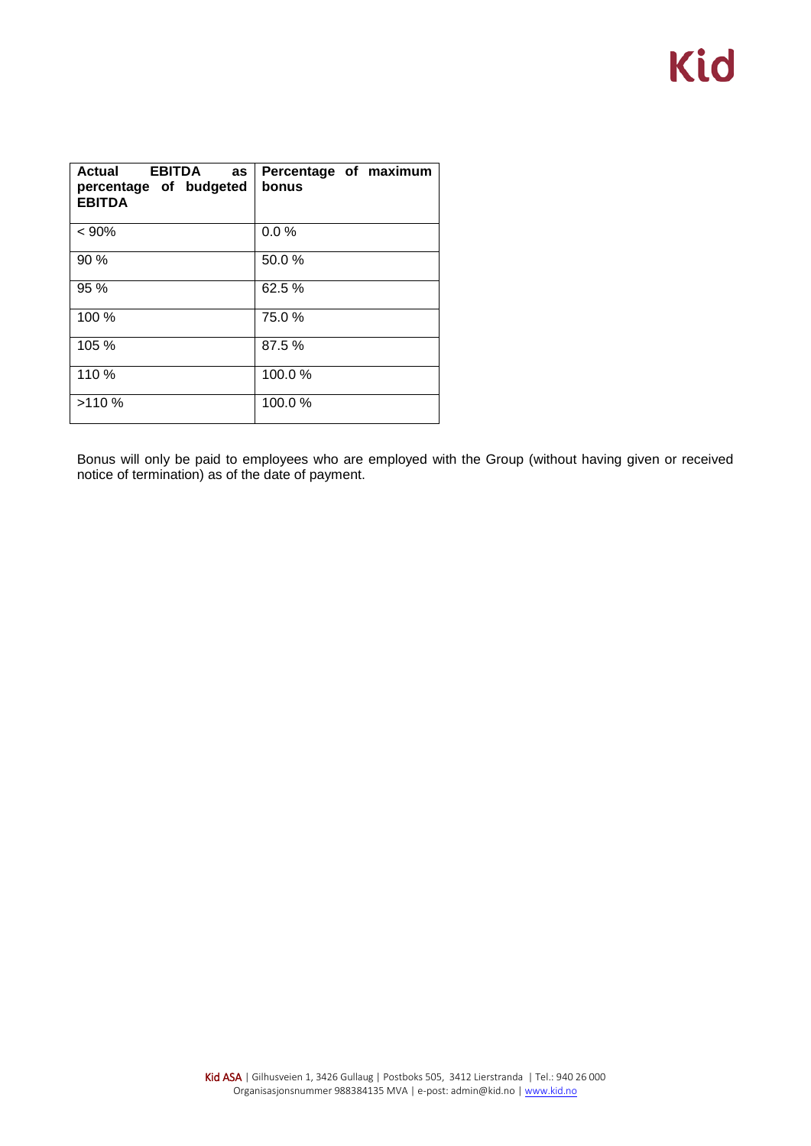| <b>Actual EBITDA</b><br><b>as</b><br>percentage of budgeted<br><b>EBITDA</b> | Percentage of maximum<br>bonus |
|------------------------------------------------------------------------------|--------------------------------|
| < 90%                                                                        | 0.0%                           |
| 90 %                                                                         | 50.0%                          |
| 95 %                                                                         | 62.5 %                         |
| 100 %                                                                        | 75.0%                          |
| 105 %                                                                        | 87.5%                          |
| 110 %                                                                        | 100.0%                         |
| >110%                                                                        | 100.0%                         |

Bonus will only be paid to employees who are employed with the Group (without having given or received notice of termination) as of the date of payment.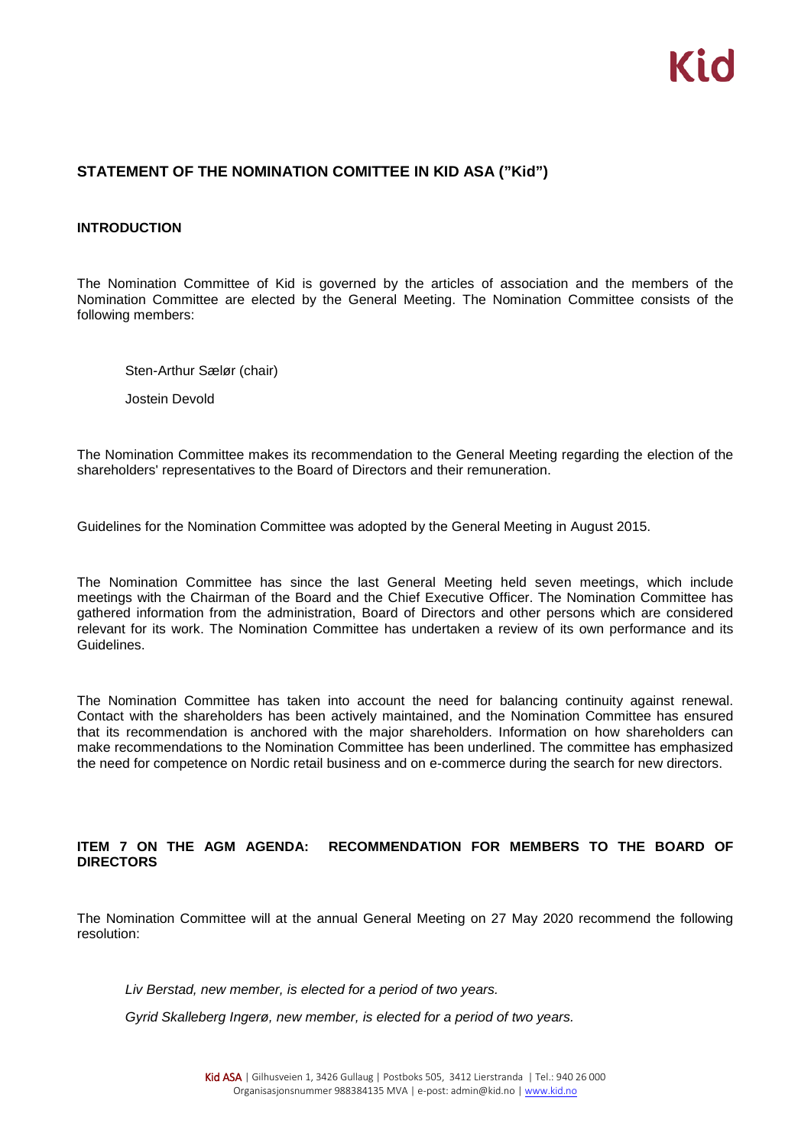### **STATEMENT OF THE NOMINATION COMITTEE IN KID ASA ("Kid")**

#### **INTRODUCTION**

The Nomination Committee of Kid is governed by the articles of association and the members of the Nomination Committee are elected by the General Meeting. The Nomination Committee consists of the following members:

Sten-Arthur Sælør (chair)

Jostein Devold

The Nomination Committee makes its recommendation to the General Meeting regarding the election of the shareholders' representatives to the Board of Directors and their remuneration.

Guidelines for the Nomination Committee was adopted by the General Meeting in August 2015.

The Nomination Committee has since the last General Meeting held seven meetings, which include meetings with the Chairman of the Board and the Chief Executive Officer. The Nomination Committee has gathered information from the administration, Board of Directors and other persons which are considered relevant for its work. The Nomination Committee has undertaken a review of its own performance and its Guidelines.

The Nomination Committee has taken into account the need for balancing continuity against renewal. Contact with the shareholders has been actively maintained, and the Nomination Committee has ensured that its recommendation is anchored with the major shareholders. Information on how shareholders can make recommendations to the Nomination Committee has been underlined. The committee has emphasized the need for competence on Nordic retail business and on e-commerce during the search for new directors.

### **ITEM 7 ON THE AGM AGENDA: RECOMMENDATION FOR MEMBERS TO THE BOARD OF DIRECTORS**

The Nomination Committee will at the annual General Meeting on 27 May 2020 recommend the following resolution:

*Liv Berstad, new member, is elected for a period of two years.*

*Gyrid Skalleberg Ingerø, new member, is elected for a period of two years.*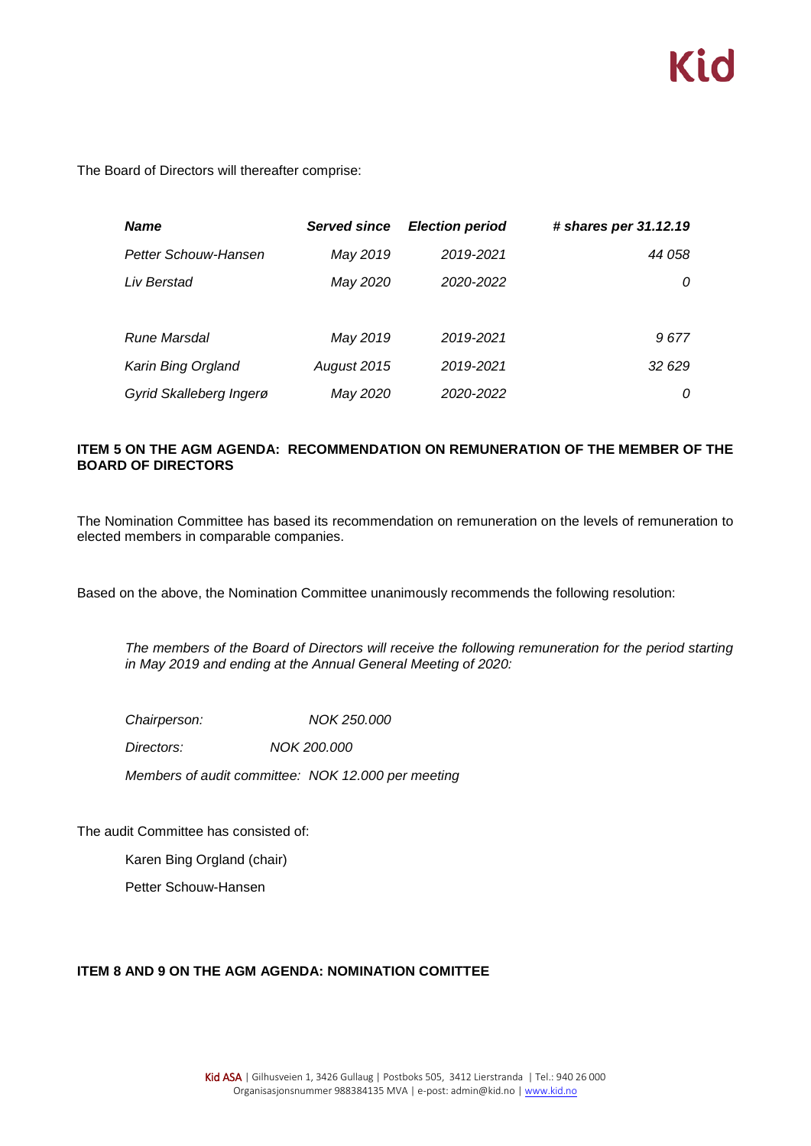

The Board of Directors will thereafter comprise:

| <b>Name</b>             | <b>Served since</b> | <b>Election period</b> | # shares per 31.12.19 |
|-------------------------|---------------------|------------------------|-----------------------|
| Petter Schouw-Hansen    | May 2019            | 2019-2021              | 44 058                |
| Liv Berstad             | May 2020            | 2020-2022              | 0                     |
|                         |                     |                        |                       |
| Rune Marsdal            | May 2019            | 2019-2021              | 9677                  |
| Karin Bing Orgland      | August 2015         | 2019-2021              | 32 629                |
| Gyrid Skalleberg Ingerø | May 2020            | 2020-2022              | 0                     |

### **ITEM 5 ON THE AGM AGENDA: RECOMMENDATION ON REMUNERATION OF THE MEMBER OF THE BOARD OF DIRECTORS**

The Nomination Committee has based its recommendation on remuneration on the levels of remuneration to elected members in comparable companies.

Based on the above, the Nomination Committee unanimously recommends the following resolution:

*The members of the Board of Directors will receive the following remuneration for the period starting in May 2019 and ending at the Annual General Meeting of 2020:*

*Chairperson: NOK 250.000*

*Directors: NOK 200.000*

*Members of audit committee: NOK 12.000 per meeting* 

The audit Committee has consisted of:

Karen Bing Orgland (chair)

Petter Schouw-Hansen

#### **ITEM 8 AND 9 ON THE AGM AGENDA: NOMINATION COMITTEE**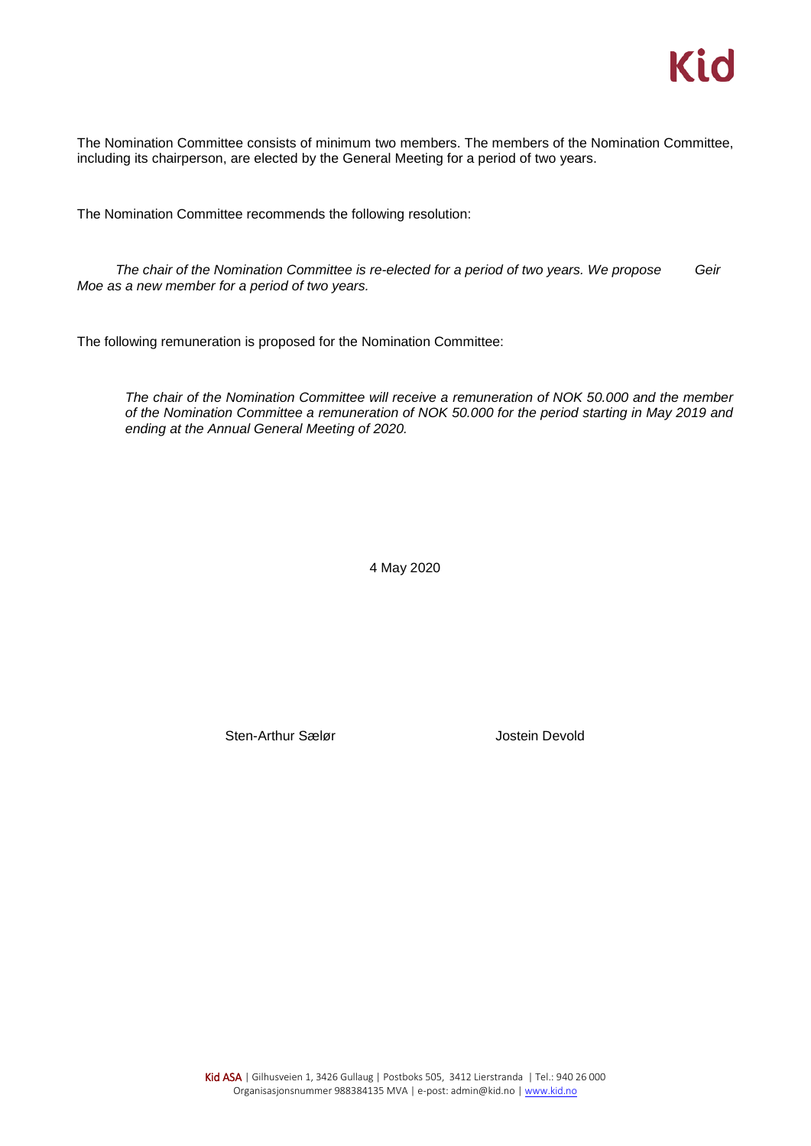The Nomination Committee consists of minimum two members. The members of the Nomination Committee, including its chairperson, are elected by the General Meeting for a period of two years.

The Nomination Committee recommends the following resolution:

*The chair of the Nomination Committee is re-elected for a period of two years. We propose Geir Moe as a new member for a period of two years.*

The following remuneration is proposed for the Nomination Committee:

*The chair of the Nomination Committee will receive a remuneration of NOK 50.000 and the member of the Nomination Committee a remuneration of NOK 50.000 for the period starting in May 2019 and ending at the Annual General Meeting of 2020.* 

4 May 2020

Sten-Arthur Sælør **Greek and Sten-Arthur Sælør** Jostein Devold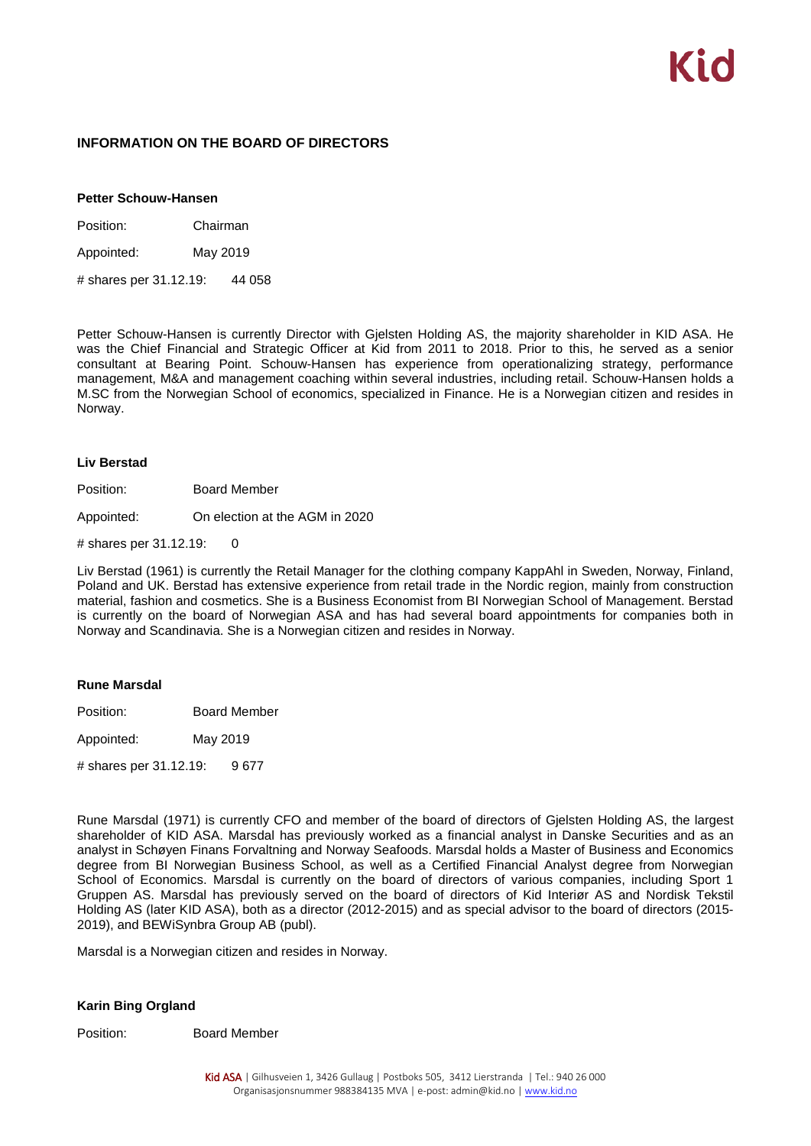#### **INFORMATION ON THE BOARD OF DIRECTORS**

#### **Petter Schouw-Hansen**

Position: Chairman

Appointed: May 2019

# shares per 31.12.19: 44 058

Petter Schouw-Hansen is currently Director with Gjelsten Holding AS, the majority shareholder in KID ASA. He was the Chief Financial and Strategic Officer at Kid from 2011 to 2018. Prior to this, he served as a senior consultant at Bearing Point. Schouw-Hansen has experience from operationalizing strategy, performance management, M&A and management coaching within several industries, including retail. Schouw-Hansen holds a M.SC from the Norwegian School of economics, specialized in Finance. He is a Norwegian citizen and resides in Norway.

#### **Liv Berstad**

Position: Board Member

Appointed: On election at the AGM in 2020

# shares per 31.12.19: 0

Liv Berstad (1961) is currently the Retail Manager for the clothing company KappAhl in Sweden, Norway, Finland, Poland and UK. Berstad has extensive experience from retail trade in the Nordic region, mainly from construction material, fashion and cosmetics. She is a Business Economist from BI Norwegian School of Management. Berstad is currently on the board of Norwegian ASA and has had several board appointments for companies both in Norway and Scandinavia. She is a Norwegian citizen and resides in Norway.

#### **Rune Marsdal**

Position: Board Member

Appointed: May 2019

# shares per 31.12.19: 9 677

Rune Marsdal (1971) is currently CFO and member of the board of directors of Gjelsten Holding AS, the largest shareholder of KID ASA. Marsdal has previously worked as a financial analyst in Danske Securities and as an analyst in Schøyen Finans Forvaltning and Norway Seafoods. Marsdal holds a Master of Business and Economics degree from BI Norwegian Business School, as well as a Certified Financial Analyst degree from Norwegian School of Economics. Marsdal is currently on the board of directors of various companies, including Sport 1 Gruppen AS. Marsdal has previously served on the board of directors of Kid Interiør AS and Nordisk Tekstil Holding AS (later KID ASA), both as a director (2012-2015) and as special advisor to the board of directors (2015- 2019), and BEWiSynbra Group AB (publ).

Marsdal is a Norwegian citizen and resides in Norway.

#### **Karin Bing Orgland**

Position: Board Member